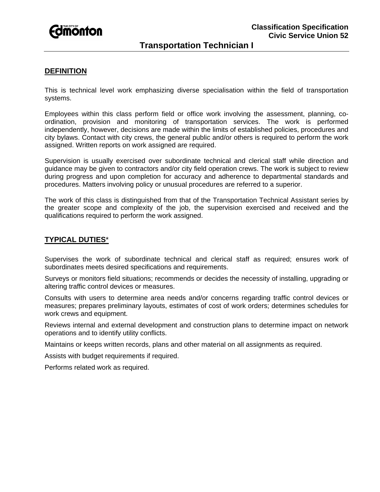

### **DEFINITION**

This is technical level work emphasizing diverse specialisation within the field of transportation systems.

Employees within this class perform field or office work involving the assessment, planning, coordination, provision and monitoring of transportation services. The work is performed independently, however, decisions are made within the limits of established policies, procedures and city bylaws. Contact with city crews, the general public and/or others is required to perform the work assigned. Written reports on work assigned are required.

Supervision is usually exercised over subordinate technical and clerical staff while direction and guidance may be given to contractors and/or city field operation crews. The work is subject to review during progress and upon completion for accuracy and adherence to departmental standards and procedures. Matters involving policy or unusual procedures are referred to a superior.

The work of this class is distinguished from that of the Transportation Technical Assistant series by the greater scope and complexity of the job, the supervision exercised and received and the qualifications required to perform the work assigned.

#### **TYPICAL DUTIES**\*

Supervises the work of subordinate technical and clerical staff as required; ensures work of subordinates meets desired specifications and requirements.

Surveys or monitors field situations; recommends or decides the necessity of installing, upgrading or altering traffic control devices or measures.

Consults with users to determine area needs and/or concerns regarding traffic control devices or measures; prepares preliminary layouts, estimates of cost of work orders; determines schedules for work crews and equipment.

Reviews internal and external development and construction plans to determine impact on network operations and to identify utility conflicts.

Maintains or keeps written records, plans and other material on all assignments as required.

Assists with budget requirements if required.

Performs related work as required.